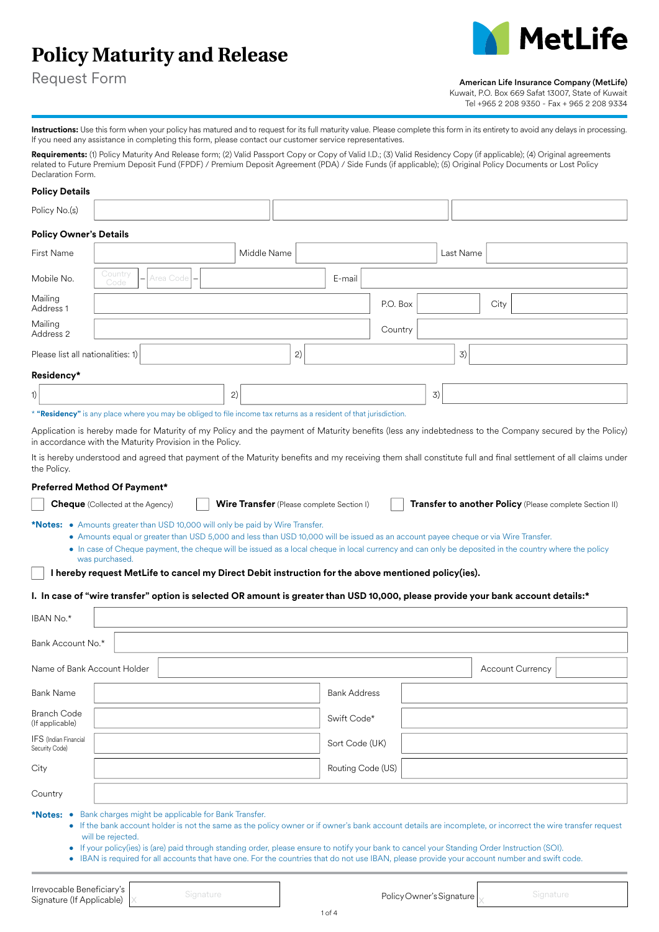# **Policy Maturity and Release**



Request Form

American Life Insurance Company (MetLife)

Kuwait, P.O. Box 669 Safat 13007, State of Kuwait Tel +965 2 208 9350 - Fax + 965 2 208 9334

Instructions: Use this form when your policy has matured and to request for its full maturity value. Please complete this form in its entirety to avoid any delays in processing. If you need any assistance in completing this form, please contact our customer service representatives.

Requirements: (1) Policy Maturity And Release form; (2) Valid Passport Copy or Copy of Valid I.D.; (3) Valid Residency Copy (if applicable); (4) Original agreements related to Future Premium Deposit Fund (FPDF) / Premium Deposit Agreement (PDA) / Side Funds (if applicable); (5) Original Policy Documents or Lost Policy Declaration Form.

# **Policy Details**

| Policy No.(s)                         |                                      |        |           |      |
|---------------------------------------|--------------------------------------|--------|-----------|------|
| <b>Policy Owner's Details</b>         |                                      |        |           |      |
| First Name                            | Middle Name                          |        | Last Name |      |
| Mobile No.                            | Country<br>$-$ Area Code $-$<br>Code | E-mail |           |      |
| Mailing<br>Address 1                  |                                      |        | P.O. Box  | City |
| Mailing<br>Address 2                  |                                      |        | Country   |      |
| Please list all nationalities: 1) $ $ |                                      | 2)     | 3)        |      |
| Residency*                            |                                      |        |           |      |
| 1)                                    | 2)                                   |        | 3)        |      |

\* **"Residency"** is any place where you may be obliged to file income tax returns as a resident of that jurisdiction.

Application is hereby made for Maturity of my Policy and the payment of Maturity benefits (less any indebtedness to the Company secured by the Policy) in accordance with the Maturity Provision in the Policy.

It is hereby understood and agreed that payment of the Maturity benefits and my receiving them shall constitute full and final settlement of all claims under the Policy.

### **Preferred Method Of Payment\***

| <b>Transfer to another Policy</b> (Please complete Section II)<br><b>Wire Transfer</b> (Please complete Section I)<br><b>Cheque</b> (Collected at the Agency)                                                              |
|----------------------------------------------------------------------------------------------------------------------------------------------------------------------------------------------------------------------------|
| <b>*Notes:</b> • Amounts greater than USD 10,000 will only be paid by Wire Transfer.<br>• Amounts equal or greater than USD 5,000 and less than USD 10,000 will be issued as an account payee cheque or via Wire Transfer. |
| • In case of Cheque payment, the cheque will be issued as a local cheque in local currency and can only be deposited in the country where the policy<br>was purchased.                                                     |
| I hereby request MetLife to cancel my Direct Debit instruction for the above mentioned policy(ies).                                                                                                                        |

# **I. In case of "wire transfer" option is selected OR amount is greater than USD 10,000, please provide your bank account details:\***

| IBAN No.*                                                                                                                                                                                                                                                                                                                                                                                                                                                                                                                                                      |                         |  |  |  |  |  |  |
|----------------------------------------------------------------------------------------------------------------------------------------------------------------------------------------------------------------------------------------------------------------------------------------------------------------------------------------------------------------------------------------------------------------------------------------------------------------------------------------------------------------------------------------------------------------|-------------------------|--|--|--|--|--|--|
| Bank Account No.*                                                                                                                                                                                                                                                                                                                                                                                                                                                                                                                                              |                         |  |  |  |  |  |  |
| Name of Bank Account Holder                                                                                                                                                                                                                                                                                                                                                                                                                                                                                                                                    | <b>Account Currency</b> |  |  |  |  |  |  |
| <b>Bank Name</b>                                                                                                                                                                                                                                                                                                                                                                                                                                                                                                                                               | <b>Bank Address</b>     |  |  |  |  |  |  |
| <b>Branch Code</b><br>(If applicable)                                                                                                                                                                                                                                                                                                                                                                                                                                                                                                                          | Swift Code*             |  |  |  |  |  |  |
| IFS (Indian Financial<br>Security Code)                                                                                                                                                                                                                                                                                                                                                                                                                                                                                                                        | Sort Code (UK)          |  |  |  |  |  |  |
| City                                                                                                                                                                                                                                                                                                                                                                                                                                                                                                                                                           | Routing Code (US)       |  |  |  |  |  |  |
| Country                                                                                                                                                                                                                                                                                                                                                                                                                                                                                                                                                        |                         |  |  |  |  |  |  |
| *Notes: • Bank charges might be applicable for Bank Transfer.<br>• If the bank account holder is not the same as the policy owner or if owner's bank account details are incomplete, or incorrect the wire transfer request<br>will be rejected.<br>• If your policy(ies) is (are) paid through standing order, please ensure to notify your bank to cancel your Standing Order Instruction (SOI).<br>IBAN is required for all accounts that have one. For the countries that do not use IBAN, please provide your account number and swift code.<br>$\bullet$ |                         |  |  |  |  |  |  |

**Irrevocable Beneficiary's**<br>Signature (If Applicable) x and Signature in the International Component Policy Owner's Signature  $\bigg\uplus$  Signature **Irrevocable Beneficiary's**<br> **Signature (If Applicable)** X Signature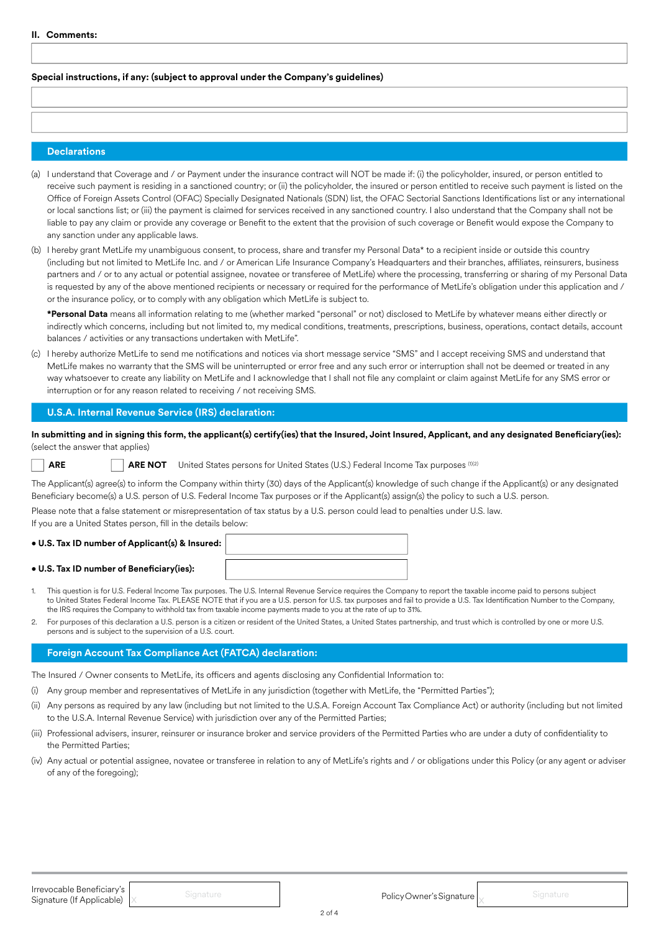# **Special instructions, if any: (subject to approval under the Company's guidelines)**

### **Declarations**

- (a) I understand that Coverage and / or Payment under the insurance contract will NOT be made if: (i) the policyholder, insured, or person entitled to receive such payment is residing in a sanctioned country; or (ii) the policyholder, the insured or person entitled to receive such payment is listed on the Office of Foreign Assets Control (OFAC) Specially Designated Nationals (SDN) list, the OFAC Sectorial Sanctions Identifications list or any international or local sanctions list; or (iii) the payment is claimed for services received in any sanctioned country. I also understand that the Company shall not be liable to pay any claim or provide any coverage or Benefit to the extent that the provision of such coverage or Benefit would expose the Company to any sanction under any applicable laws.
- (b) I hereby grant MetLife my unambiguous consent, to process, share and transfer my Personal Data\* to a recipient inside or outside this country (including but not limited to MetLife Inc. and / or American Life Insurance Company's Headquarters and their branches, affiliates, reinsurers, business partners and / or to any actual or potential assignee, novatee or transferee of MetLife) where the processing, transferring or sharing of my Personal Data is requested by any of the above mentioned recipients or necessary or required for the performance of MetLife's obligation under this application and / or the insurance policy, or to comply with any obligation which MetLife is subject to.

**\*Personal Data** means all information relating to me (whether marked "personal" or not) disclosed to MetLife by whatever means either directly or indirectly which concerns, including but not limited to, my medical conditions, treatments, prescriptions, business, operations, contact details, account balances / activities or any transactions undertaken with MetLife".

(c) I hereby authorize MetLife to send me notifications and notices via short message service "SMS" and I accept receiving SMS and understand that MetLife makes no warranty that the SMS will be uninterrupted or error free and any such error or interruption shall not be deemed or treated in any way whatsoever to create any liability on MetLife and I acknowledge that I shall not file any complaint or claim against MetLife for any SMS error or interruption or for any reason related to receiving / not receiving SMS.

# **U.S.A. Internal Revenue Service (IRS) declaration:**

**In submitting and in signing this form, the applicant(s) certify(ies) that the Insured, Joint Insured, Applicant, and any designated Beneficiary(ies):**  (select the answer that applies)

**ARE ARE NOT** United States persons for United States (U.S.) Federal Income Tax purposes (102)

The Applicant(s) agree(s) to inform the Company within thirty (30) days of the Applicant(s) knowledge of such change if the Applicant(s) or any designated Beneficiary become(s) a U.S. person of U.S. Federal Income Tax purposes or if the Applicant(s) assign(s) the policy to such a U.S. person.

Please note that a false statement or misrepresentation of tax status by a U.S. person could lead to penalties under U.S. law. If you are a United States person, fill in the details below:

#### **• U.S. Tax ID number of Applicant(s) & Insured:**

#### **• U.S. Tax ID number of Beneficiary(ies):**

- 1. This question is for U.S. Federal Income Tax purposes. The U.S. Internal Revenue Service requires the Company to report the taxable income paid to persons subject to United States Federal Income Tax. PLEASE NOTE that if you are a U.S. person for U.S. tax purposes and fail to provide a U.S. Tax Identification Number to the Company, the IRS requires the Company to withhold tax from taxable income payments made to you at the rate of up to 31%.
- 2. For purposes of this declaration a U.S. person is a citizen or resident of the United States, a United States partnership, and trust which is controlled by one or more U.S. persons and is subject to the supervision of a U.S. court.

# **Foreign Account Tax Compliance Act (FATCA) declaration:**

The Insured / Owner consents to MetLife, its officers and agents disclosing any Confidential Information to:

- (i) Any group member and representatives of MetLife in any jurisdiction (together with MetLife, the "Permitted Parties");
- (ii) Any persons as required by any law (including but not limited to the U.S.A. Foreign Account Tax Compliance Act) or authority (including but not limited to the U.S.A. Internal Revenue Service) with jurisdiction over any of the Permitted Parties;
- (iii) Professional advisers, insurer, reinsurer or insurance broker and service providers of the Permitted Parties who are under a duty of confidentiality to the Permitted Parties;
- (iv) Any actual or potential assignee, novatee or transferee in relation to any of MetLife's rights and / or obligations under this Policy (or any agent or adviser of any of the foregoing);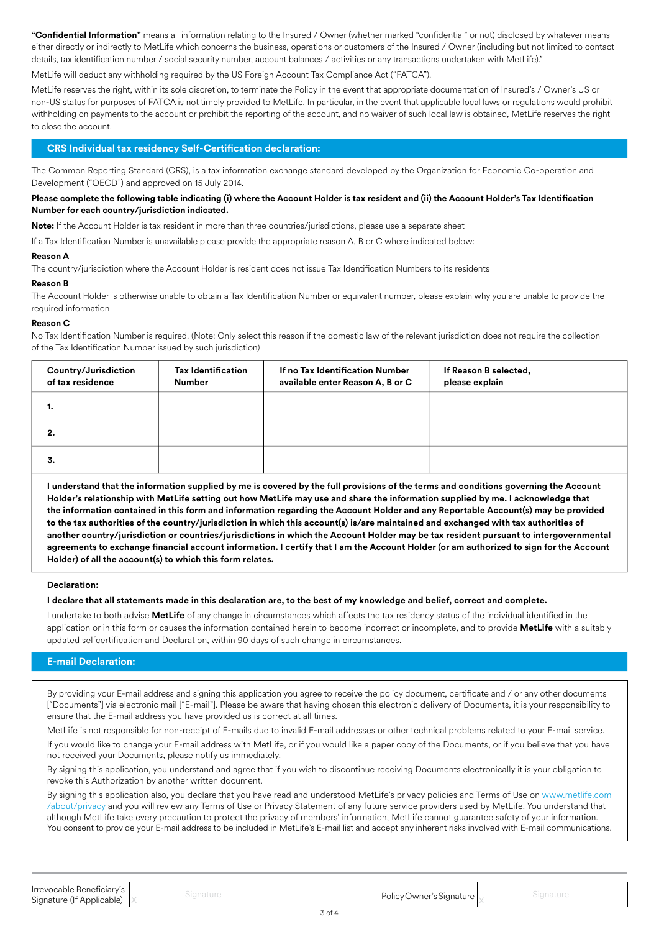**"Confidential Information"** means all information relating to the Insured / Owner (whether marked "confidential" or not) disclosed by whatever means either directly or indirectly to MetLife which concerns the business, operations or customers of the Insured / Owner (including but not limited to contact details, tax identification number / social security number, account balances / activities or any transactions undertaken with MetLife)."

MetLife will deduct any withholding required by the US Foreign Account Tax Compliance Act ("FATCA").

MetLife reserves the right, within its sole discretion, to terminate the Policy in the event that appropriate documentation of Insured's / Owner's US or non-US status for purposes of FATCA is not timely provided to MetLife. In particular, in the event that applicable local laws or regulations would prohibit withholding on payments to the account or prohibit the reporting of the account, and no waiver of such local law is obtained, MetLife reserves the right to close the account.

# **CRS Individual tax residency Self-Certification declaration:**

The Common Reporting Standard (CRS), is a tax information exchange standard developed by the Organization for Economic Co-operation and Development ("OECD") and approved on 15 July 2014.

# **Please complete the following table indicating (i) where the Account Holder is tax resident and (ii) the Account Holder's Tax Identification Number for each country/jurisdiction indicated.**

**Note:** If the Account Holder is tax resident in more than three countries/jurisdictions, please use a separate sheet

If a Tax Identification Number is unavailable please provide the appropriate reason A, B or C where indicated below:

#### **Reason A**

The country/jurisdiction where the Account Holder is resident does not issue Tax Identification Numbers to its residents

#### **Reason B**

The Account Holder is otherwise unable to obtain a Tax Identification Number or equivalent number, please explain why you are unable to provide the required information

#### **Reason C**

No Tax Identification Number is required. (Note: Only select this reason if the domestic law of the relevant jurisdiction does not require the collection of the Tax Identification Number issued by such jurisdiction)

| Country/Jurisdiction<br>of tax residence | <b>Tax Identification</b><br><b>Number</b> | If no Tax Identification Number<br>available enter Reason A, B or C | If Reason B selected,<br>please explain |
|------------------------------------------|--------------------------------------------|---------------------------------------------------------------------|-----------------------------------------|
|                                          |                                            |                                                                     |                                         |
| 2.                                       |                                            |                                                                     |                                         |
| 3.                                       |                                            |                                                                     |                                         |

**I understand that the information supplied by me is covered by the full provisions of the terms and conditions governing the Account Holder's relationship with MetLife setting out how MetLife may use and share the information supplied by me. I acknowledge that the information contained in this form and information regarding the Account Holder and any Reportable Account(s) may be provided to the tax authorities of the country/jurisdiction in which this account(s) is/are maintained and exchanged with tax authorities of another country/jurisdiction or countries/jurisdictions in which the Account Holder may be tax resident pursuant to intergovernmental agreements to exchange financial account information. I certify that I am the Account Holder (or am authorized to sign for the Account Holder) of all the account(s) to which this form relates.**

#### **Declaration:**

#### **I declare that all statements made in this declaration are, to the best of my knowledge and belief, correct and complete.**

I undertake to both advise **MetLife** of any change in circumstances which affects the tax residency status of the individual identified in the application or in this form or causes the information contained herein to become incorrect or incomplete, and to provide **MetLife** with a suitably updated selfcertification and Declaration, within 90 days of such change in circumstances.

# **E-mail Declaration:**

By providing your E-mail address and signing this application you agree to receive the policy document, certificate and / or any other documents ["Documents"] via electronic mail ["E-mail"]. Please be aware that having chosen this electronic delivery of Documents, it is your responsibility to ensure that the E-mail address you have provided us is correct at all times.

MetLife is not responsible for non-receipt of E-mails due to invalid E-mail addresses or other technical problems related to your E-mail service.

If you would like to change your E-mail address with MetLife, or if you would like a paper copy of the Documents, or if you believe that you have not received your Documents, please notify us immediately.

By signing this application, you understand and agree that if you wish to discontinue receiving Documents electronically it is your obligation to revoke this Authorization by another written document.

By signing this application also, you declare that you have read and understood MetLife's privacy policies and Terms of Use on www.metlife.com /about/privacy and you will review any Terms of Use or Privacy Statement of any future service providers used by MetLife. You understand that although MetLife take every precaution to protect the privacy of members' information, MetLife cannot guarantee safety of your information. You consent to provide your E-mail address to be included in MetLife's E-mail list and accept any inherent risks involved with E-mail communications.